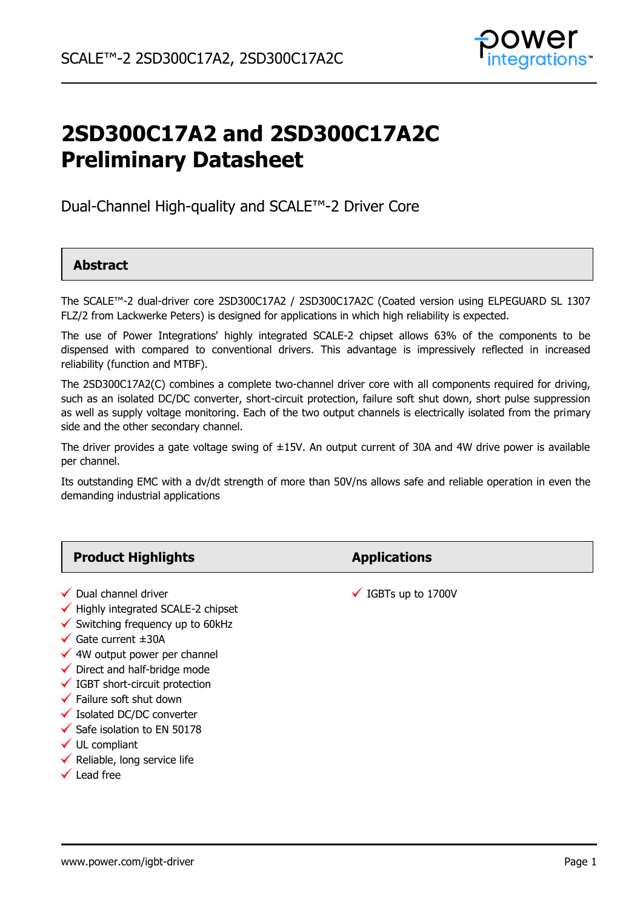

# **2SD300C17A2 and 2SD300C17A2C Preliminary Datasheet**

Dual-Channel High-quality and SCALE™-2 Driver Core

# **Abstract**

The SCALE™-2 dual-driver core 2SD300C17A2 / 2SD300C17A2C (Coated version using ELPEGUARD SL 1307 FLZ/2 from Lackwerke Peters) is designed for applications in which high reliability is expected.

The use of Power Integrations' highly integrated SCALE-2 chipset allows 63% of the components to be dispensed with compared to conventional drivers. This advantage is impressively reflected in increased reliability (function and MTBF).

The 2SD300C17A2(C) combines a complete two-channel driver core with all components required for driving, such as an isolated DC/DC converter, short-circuit protection, failure soft shut down, short pulse suppression as well as supply voltage monitoring. Each of the two output channels is electrically isolated from the primary side and the other secondary channel.

The driver provides a gate voltage swing of  $\pm$ 15V. An output current of 30A and 4W drive power is available per channel.

Its outstanding EMC with a dv/dt strength of more than 50V/ns allows safe and reliable operation in even the demanding industrial applications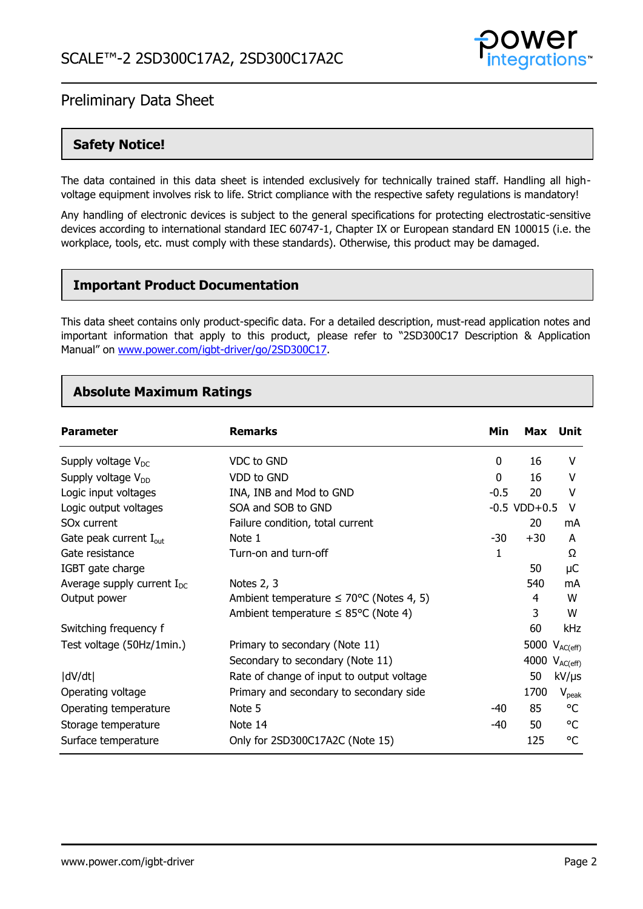

# **Safety Notice!**

The data contained in this data sheet is intended exclusively for technically trained staff. Handling all highvoltage equipment involves risk to life. Strict compliance with the respective safety regulations is mandatory!

Any handling of electronic devices is subject to the general specifications for protecting electrostatic-sensitive devices according to international standard IEC 60747-1, Chapter IX or European standard EN 100015 (i.e. the workplace, tools, etc. must comply with these standards). Otherwise, this product may be damaged.

### **Important Product Documentation**

This data sheet contains only product-specific data. For a detailed description, must-read application notes and important information that apply to this product, please refer to "2SD300C17 Description & Application Manual" on [www.power.com/igbt-driver/go/2SD300C17.](http://www.power.com/igbt-driver/go/2SD300C17)

### **Absolute Maximum Ratings**

| <b>Parameter</b>                   | <b>Remarks</b>                                       | Min    | Max               | Unit               |
|------------------------------------|------------------------------------------------------|--------|-------------------|--------------------|
| Supply voltage $V_{DC}$            | VDC to GND                                           | 0      | 16                | V                  |
| Supply voltage V <sub>DD</sub>     | VDD to GND                                           | 0      | 16                | v                  |
| Logic input voltages               | INA, INB and Mod to GND                              | $-0.5$ | 20                | v                  |
| Logic output voltages              | SOA and SOB to GND                                   |        | $-0.5$ VDD $+0.5$ | v                  |
| SO <sub>x</sub> current            | Failure condition, total current                     |        | 20                | mA                 |
| Gate peak current $I_{\text{out}}$ | Note 1                                               | $-30$  | $+30$             | A                  |
| Gate resistance                    | Turn-on and turn-off                                 | 1      |                   | Ω                  |
| IGBT gate charge                   |                                                      |        | 50                | μC                 |
| Average supply current $I_{DC}$    | Notes 2, 3                                           |        | 540               | mA                 |
| Output power                       | Ambient temperature $\leq 70^{\circ}$ C (Notes 4, 5) |        | 4                 | W                  |
|                                    | Ambient temperature $\leq$ 85°C (Note 4)             |        | 3                 | W                  |
| Switching frequency f              |                                                      |        | 60                | <b>kHz</b>         |
| Test voltage (50Hz/1min.)          | Primary to secondary (Note 11)                       |        |                   | 5000 $V_{AC(eff)}$ |
|                                    | Secondary to secondary (Note 11)                     |        |                   | 4000 $V_{AC(eff)}$ |
| dV/dt                              | Rate of change of input to output voltage            |        | 50                | kV/µs              |
| Operating voltage                  | Primary and secondary to secondary side              |        | 1700              | $V_{peak}$         |
| Operating temperature              | Note 5                                               | -40    | 85                | °C                 |
| Storage temperature                | Note 14                                              | $-40$  | 50                | °C                 |
| Surface temperature                | Only for 2SD300C17A2C (Note 15)                      |        | 125               | °C                 |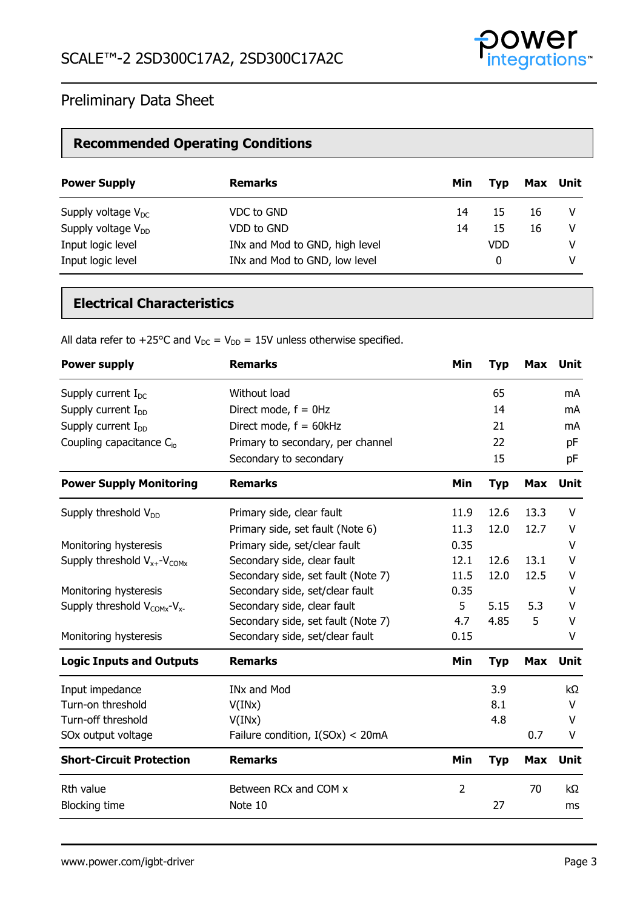

# **Recommended Operating Conditions**

| <b>Power Supply</b>     | <b>Remarks</b>                 | Min | Tvp        | Max Unit |   |
|-------------------------|--------------------------------|-----|------------|----------|---|
| Supply voltage $V_{DC}$ | VDC to GND                     | 14  | 15         | 16       | V |
| Supply voltage $V_{DD}$ | VDD to GND                     | 14  | 15         | 16       | V |
| Input logic level       | INx and Mod to GND, high level |     | <b>VDD</b> |          | v |
| Input logic level       | INx and Mod to GND, low level  |     | 0          |          | v |

# **Electrical Characteristics**

All data refer to +25°C and  $V_{DC} = V_{DD} = 15V$  unless otherwise specified.

| <b>Power supply</b>                     | <b>Remarks</b>                     | Min            | <b>Typ</b> | <b>Max</b> | Unit        |
|-----------------------------------------|------------------------------------|----------------|------------|------------|-------------|
| Supply current $I_{DC}$                 | Without load                       |                | 65         |            | mA          |
| Supply current $I_{DD}$                 | Direct mode, $f = 0$ Hz            |                | 14         |            | mA          |
| Supply current $I_{DD}$                 | Direct mode, $f = 60kHz$           |                | 21         |            | mA          |
| Coupling capacitance $C_{io}$           | Primary to secondary, per channel  |                | 22         |            | pF          |
|                                         | Secondary to secondary             |                | 15         |            | pF          |
| <b>Power Supply Monitoring</b>          | <b>Remarks</b>                     | Min            | <b>Typ</b> | Max        | <b>Unit</b> |
| Supply threshold $V_{DD}$               | Primary side, clear fault          | 11.9           | 12.6       | 13.3       | v           |
|                                         | Primary side, set fault (Note 6)   | 11.3           | 12.0       | 12.7       | v           |
| Monitoring hysteresis                   | Primary side, set/clear fault      | 0.35           |            |            | v           |
| Supply threshold $V_{x+}$ - $V_{COMx}$  | Secondary side, clear fault        | 12.1           | 12.6       | 13.1       | v           |
|                                         | Secondary side, set fault (Note 7) | 11.5           | 12.0       | 12.5       | v           |
| Monitoring hysteresis                   | Secondary side, set/clear fault    | 0.35           |            |            | v           |
| Supply threshold $V_{COMX}$ - $V_{X}$ - | Secondary side, clear fault        | 5              | 5.15       | 5.3        | v           |
|                                         | Secondary side, set fault (Note 7) | 4.7            | 4.85       | 5          | V           |
| Monitoring hysteresis                   | Secondary side, set/clear fault    | 0.15           |            |            | V           |
| <b>Logic Inputs and Outputs</b>         | <b>Remarks</b>                     | Min            | <b>Typ</b> | <b>Max</b> | <b>Unit</b> |
| Input impedance                         | <b>INx and Mod</b>                 |                | 3.9        |            | $k\Omega$   |
| Turn-on threshold                       | V(INx)                             |                | 8.1        |            | V           |
| Turn-off threshold                      | V(INx)                             |                | 4.8        |            | V           |
| SOx output voltage                      | Failure condition, I(SOx) < 20mA   |                |            | 0.7        | V           |
| <b>Short-Circuit Protection</b>         | <b>Remarks</b>                     | Min            | <b>Typ</b> | <b>Max</b> | <b>Unit</b> |
| Rth value                               | Between RCx and COM x              | $\overline{2}$ |            | 70         | $k\Omega$   |
| <b>Blocking time</b>                    | Note 10                            |                | 27         |            | ms          |
|                                         |                                    |                |            |            |             |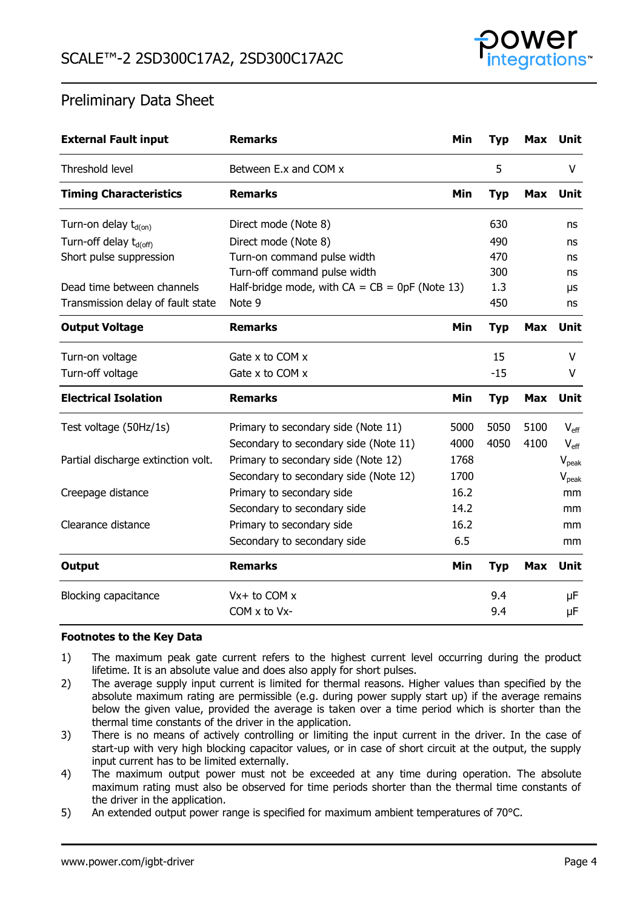

| <b>External Fault input</b>        | <b>Remarks</b>                                   | Min  | <b>Typ</b> | <b>Max</b> | Unit              |
|------------------------------------|--------------------------------------------------|------|------------|------------|-------------------|
| Threshold level                    | Between E.x and COM x                            |      | 5          |            | V                 |
| <b>Timing Characteristics</b>      | <b>Remarks</b>                                   | Min  | <b>Typ</b> | Max        | <b>Unit</b>       |
| Turn-on delay $t_{d(0n)}$          | Direct mode (Note 8)                             |      | 630        |            | ns                |
| Turn-off delay t <sub>d(off)</sub> | Direct mode (Note 8)                             |      | 490        |            | ns                |
| Short pulse suppression            | Turn-on command pulse width                      |      | 470        |            | ns                |
|                                    | Turn-off command pulse width                     |      | 300        |            | ns                |
| Dead time between channels         | Half-bridge mode, with $CA = CB = 0pF$ (Note 13) |      | 1.3        |            | μs                |
| Transmission delay of fault state  | Note 9                                           |      | 450        |            | ns                |
| <b>Output Voltage</b>              | <b>Remarks</b>                                   | Min  | <b>Typ</b> | <b>Max</b> | Unit              |
| Turn-on voltage                    | Gate $x$ to COM $x$                              |      | 15         |            | v                 |
| Turn-off voltage                   | Gate x to COM x                                  |      | $-15$      |            | V                 |
| <b>Electrical Isolation</b>        | <b>Remarks</b>                                   | Min  | <b>Typ</b> | Max        | Unit              |
| Test voltage (50Hz/1s)             | Primary to secondary side (Note 11)              | 5000 | 5050       | 5100       | $V_{\text{eff}}$  |
|                                    | Secondary to secondary side (Note 11)            | 4000 | 4050       | 4100       | $V_{\text{eff}}$  |
| Partial discharge extinction volt. | Primary to secondary side (Note 12)              | 1768 |            |            | $V_{peak}$        |
|                                    | Secondary to secondary side (Note 12)            | 1700 |            |            | $V_{\text{peak}}$ |
| Creepage distance                  | Primary to secondary side                        | 16.2 |            |            | mm                |
|                                    | Secondary to secondary side                      | 14.2 |            |            | mm                |
| Clearance distance                 | Primary to secondary side                        | 16.2 |            |            | mm                |
|                                    | Secondary to secondary side                      | 6.5  |            |            | mm                |
| Output                             | <b>Remarks</b>                                   | Min  | <b>Typ</b> | <b>Max</b> | Unit              |
| <b>Blocking capacitance</b>        | $Vx + to COM x$                                  |      | 9.4        |            | μF                |
|                                    | $COM \times$ to V $x$ -                          |      | 9.4        |            | μF                |

#### **Footnotes to the Key Data**

- 1) The maximum peak gate current refers to the highest current level occurring during the product lifetime. It is an absolute value and does also apply for short pulses.
- 2) The average supply input current is limited for thermal reasons. Higher values than specified by the absolute maximum rating are permissible (e.g. during power supply start up) if the average remains below the given value, provided the average is taken over a time period which is shorter than the thermal time constants of the driver in the application.
- 3) There is no means of actively controlling or limiting the input current in the driver. In the case of start-up with very high blocking capacitor values, or in case of short circuit at the output, the supply input current has to be limited externally.
- 4) The maximum output power must not be exceeded at any time during operation. The absolute maximum rating must also be observed for time periods shorter than the thermal time constants of the driver in the application.
- 5) An extended output power range is specified for maximum ambient temperatures of 70°C.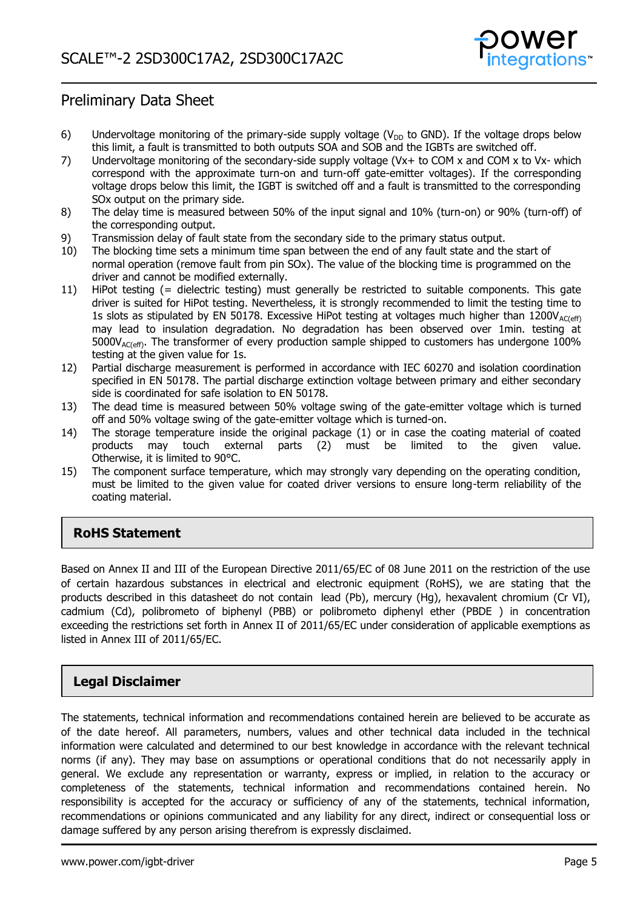

- 6) Undervoltage monitoring of the primary-side supply voltage ( $V_{DD}$  to GND). If the voltage drops below this limit, a fault is transmitted to both outputs SOA and SOB and the IGBTs are switched off.
- 7) Undervoltage monitoring of the secondary-side supply voltage (Vx+ to COM x and COM x to Vx- which correspond with the approximate turn-on and turn-off gate-emitter voltages). If the corresponding voltage drops below this limit, the IGBT is switched off and a fault is transmitted to the corresponding SOx output on the primary side.
- 8) The delay time is measured between 50% of the input signal and 10% (turn-on) or 90% (turn-off) of the corresponding output.
- 9) Transmission delay of fault state from the secondary side to the primary status output.
- 10) The blocking time sets a minimum time span between the end of any fault state and the start of normal operation (remove fault from pin SOx). The value of the blocking time is programmed on the driver and cannot be modified externally.
- 11) HiPot testing (= dielectric testing) must generally be restricted to suitable components. This gate driver is suited for HiPot testing. Nevertheless, it is strongly recommended to limit the testing time to 1s slots as stipulated by EN 50178. Excessive HiPot testing at voltages much higher than  $1200V_{AC(eff)}$ may lead to insulation degradation. No degradation has been observed over 1min. testing at  $5000V_{AC(eff)}$ . The transformer of every production sample shipped to customers has undergone 100% testing at the given value for 1s.
- 12) Partial discharge measurement is performed in accordance with IEC 60270 and isolation coordination specified in EN 50178. The partial discharge extinction voltage between primary and either secondary side is coordinated for safe isolation to EN 50178.
- 13) The dead time is measured between 50% voltage swing of the gate-emitter voltage which is turned off and 50% voltage swing of the gate-emitter voltage which is turned-on.
- 14) The storage temperature inside the original package (1) or in case the coating material of coated products may touch external parts (2) must be limited to the given value. Otherwise, it is limited to 90°C.
- 15) The component surface temperature, which may strongly vary depending on the operating condition, must be limited to the given value for coated driver versions to ensure long-term reliability of the coating material.

# **RoHS Statement**

Based on Annex II and III of the European Directive 2011/65/EC of 08 June 2011 on the restriction of the use of certain hazardous substances in electrical and electronic equipment (RoHS), we are stating that the products described in this datasheet do not contain lead (Pb), mercury (Hg), hexavalent chromium (Cr VI), cadmium (Cd), polibrometo of biphenyl (PBB) or polibrometo diphenyl ether (PBDE ) in concentration exceeding the restrictions set forth in Annex II of 2011/65/EC under consideration of applicable exemptions as listed in Annex III of 2011/65/EC.

# **Legal Disclaimer**

The statements, technical information and recommendations contained herein are believed to be accurate as of the date hereof. All parameters, numbers, values and other technical data included in the technical information were calculated and determined to our best knowledge in accordance with the relevant technical norms (if any). They may base on assumptions or operational conditions that do not necessarily apply in general. We exclude any representation or warranty, express or implied, in relation to the accuracy or completeness of the statements, technical information and recommendations contained herein. No responsibility is accepted for the accuracy or sufficiency of any of the statements, technical information, recommendations or opinions communicated and any liability for any direct, indirect or consequential loss or damage suffered by any person arising therefrom is expressly disclaimed.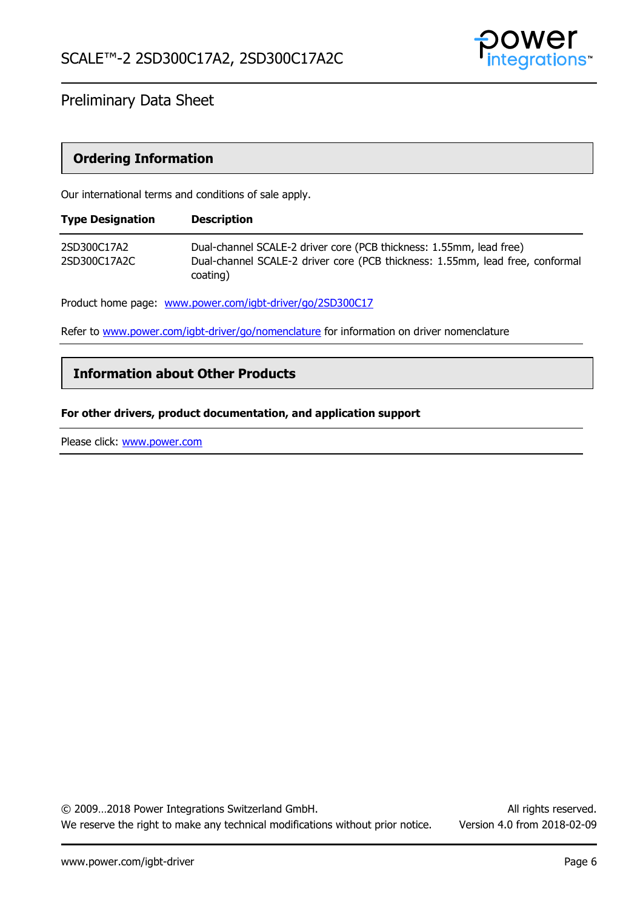

## **Ordering Information**

Our international terms and conditions of sale apply.

| <b>Type Designation</b>     | <b>Description</b>                                                                                                                                   |
|-----------------------------|------------------------------------------------------------------------------------------------------------------------------------------------------|
| 2SD300C17A2<br>2SD300C17A2C | Dual-channel SCALE-2 driver core (PCB thickness: 1.55mm, lead free)<br>Dual-channel SCALE-2 driver core (PCB thickness: 1.55mm, lead free, conformal |
|                             | coating)                                                                                                                                             |

Product home page: [www.power.com/igbt-driver/go/2SD300C17](http://www.power.com/igbt-driver/go/2SD300C17)

Refer to [www.power.com/igbt-driver/go/nomenclature](http://www.power.com/igbt-driver/go/nomenclature) for information on driver nomenclature

### **Information about Other Products**

#### **For other drivers, product documentation, and application support**

Please click: [www.power.com](http://www.power.com/)

© 2009…2018 Power Integrations Switzerland GmbH. All rights reserved. We reserve the right to make any technical modifications without prior notice. Version 4.0 from 2018-02-09